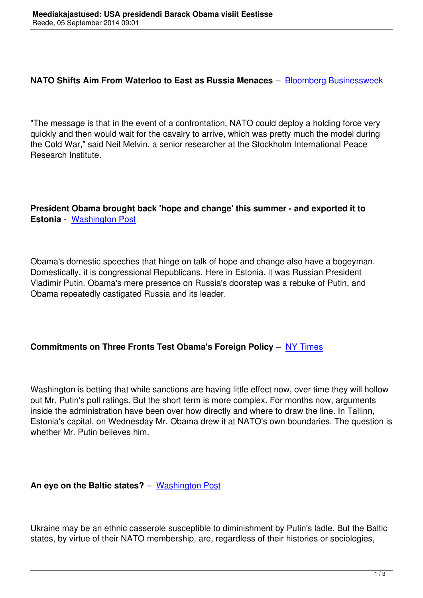"The message is that in the event of a confrontation, NATO could d[eploy a holding force very](http://www.businessweek.com/news/2014-09-03/nato-switches-aim-from-waterloo-to-east-as-russia-bares-fangs) quickly and then would wait for the cavalry to arrive, which was pretty much the model during the Cold War," said Neil Melvin, a senior researcher at the Stockholm International Peace Research Institute.

**President Obama brought back 'hope and change' this summer - and exported it to Estonia** - Washington Post

Obama's [domestic speeches](http://www.washingtonpost.com/blogs/post-politics/wp/2014/09/03/president-obama-brought-back-hope-and-change-this-summer-and-exported-it-to-estonia/) that hinge on talk of hope and change also have a bogeyman. Domestically, it is congressional Republicans. Here in Estonia, it was Russian President Vladimir Putin. Obama's mere presence on Russia's doorstep was a rebuke of Putin, and Obama repeatedly castigated Russia and its leader.

#### **Commitments on Three Fronts Test Obama's Foreign Policy** – NY Times

Washington is betting that while sanctions are having little effect no[w, over tim](http://www.nytimes.com/2014/09/04/world/europe/commitments-on-3-fronts-test-obamas-foreign-policy-doctrine.html?ref=world&_r=0)e they will hollow out Mr. Putin's poll ratings. But the short term is more complex. For months now, arguments inside the administration have been over how directly and where to draw the line. In Tallinn, Estonia's capital, on Wednesday Mr. Obama drew it at NATO's own boundaries. The question is whether Mr. Putin believes him.

#### **An eye on the Baltic states?** – Washington Post

Ukraine may be an ethnic casser[ole susceptible to](http://www.washingtonpost.com/opinions/george-will-the-putin-threat-to-the-baltic-states/2014/09/03/e4d0b3a0-32dd-11e4-a723-fa3895a25d02_story.html) diminishment by Putin's ladle. But the Baltic states, by virtue of their NATO membership, are, regardless of their histories or sociologies,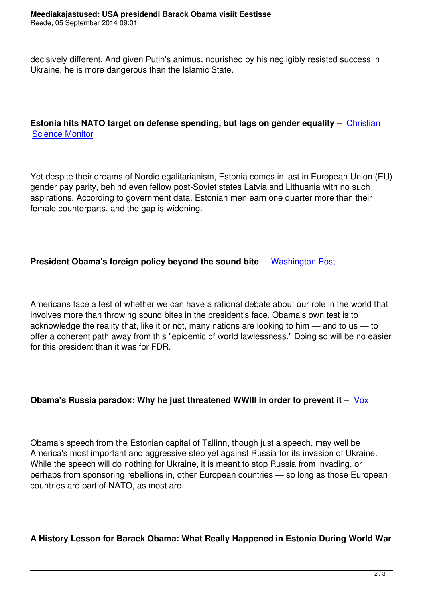decisively different. And given Putin's animus, nourished by his negligibly resisted success in Ukraine, he is more dangerous than the Islamic State.

### **Estonia hits NATO target on defense spending, but lags on gender equality** – Christian Science Monitor

[Yet despite their](http://www.csmonitor.com/World/Europe/2014/0904/Estonia-hits-NATO-target-on-defense-spending-but-lags-on-gender-equality) dreams of Nordic egalitarianism, Estonia comes in last in European Union (EU) gender pay parity, behind even fellow post-Soviet states Latvia and Lithuania with no such aspirations. According to government data, Estonian men earn one quarter more than their female counterparts, and the gap is widening.

# **President Obama's foreign policy beyond the sound bite** – Washington Post

Americans face a test of whether we can have a rational debate [about our role in](http://www.washingtonpost.com/opinions/ej-dionne-obamas-foreign-policy-beyond-the-sound-bite/2014/09/03/24dc2a22-339e-11e4-a723-fa3895a25d02_story.html) the world that involves more than throwing sound bites in the president's face. Obama's own test is to acknowledge the reality that, like it or not, many nations are looking to him — and to us — to offer a coherent path away from this "epidemic of world lawlessness." Doing so will be no easier for this president than it was for FDR.

# **Obama's Russia paradox: Why he just threatened WWIII in order to prevent it** – Vox

Obama's speech from the Estonian capital of Tallinn, though just a speech, may well [be](http://www.vox.com/2014/9/3/6101507/obama-just-committed-the-us-to-war-against-russia-if-it-invades) America's most important and aggressive step yet against Russia for its invasion of Ukraine. While the speech will do nothing for Ukraine, it is meant to stop Russia from invading, or perhaps from sponsoring rebellions in, other European countries — so long as those European countries are part of NATO, as most are.

#### **A History Lesson for Barack Obama: What Really Happened in Estonia During World War**